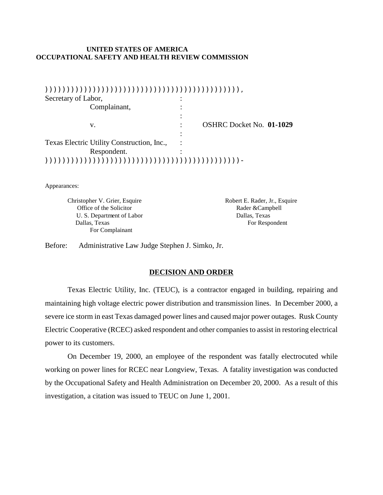## **UNITED STATES OF AMERICA OCCUPATIONAL SAFETY AND HEALTH REVIEW COMMISSION**

| Secretary of Labor,                        |                                 |
|--------------------------------------------|---------------------------------|
| Complainant,                               |                                 |
|                                            |                                 |
| v.                                         | <b>OSHRC Docket No. 01-1029</b> |
|                                            |                                 |
| Texas Electric Utility Construction, Inc., |                                 |
| Respondent.                                |                                 |
|                                            |                                 |

Appearances:

Christopher V. Grier, Esquire Robert E. Rader, Jr., Esquire Office of the Solicitor **Rader &Campbell** U. S. Department of Labor Dallas, Texas Dallas, Texas For Respondent For Complainant

Before: Administrative Law Judge Stephen J. Simko, Jr.

### **DECISION AND ORDER**

Texas Electric Utility, Inc. (TEUC), is a contractor engaged in building, repairing and maintaining high voltage electric power distribution and transmission lines. In December 2000, a severe ice storm in east Texas damaged power lines and caused major power outages. Rusk County Electric Cooperative (RCEC) asked respondent and other companies to assist in restoring electrical power to its customers.

On December 19, 2000, an employee of the respondent was fatally electrocuted while working on power lines for RCEC near Longview, Texas. A fatality investigation was conducted by the Occupational Safety and Health Administration on December 20, 2000. As a result of this investigation, a citation was issued to TEUC on June 1, 2001.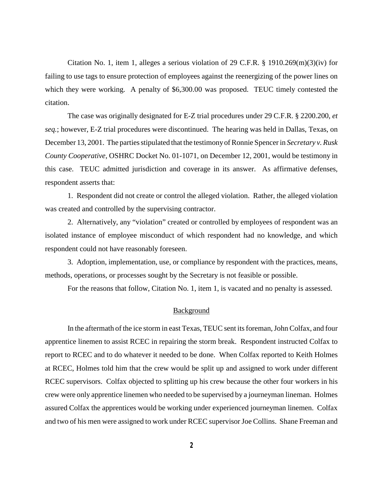Citation No. 1, item 1, alleges a serious violation of 29 C.F.R. § 1910.269 $(m)(3)(iv)$  for failing to use tags to ensure protection of employees against the reenergizing of the power lines on which they were working. A penalty of \$6,300.00 was proposed. TEUC timely contested the citation.

The case was originally designated for E-Z trial procedures under 29 C.F.R. § 2200.200, *et seq.*; however, E-Z trial procedures were discontinued. The hearing was held in Dallas, Texas, on December 13, 2001. The parties stipulated that the testimonyof Ronnie Spencer in *Secretary v. Rusk County Cooperative*, OSHRC Docket No. 01-1071, on December 12, 2001, would be testimony in this case. TEUC admitted jurisdiction and coverage in its answer. As affirmative defenses, respondent asserts that:

1. Respondent did not create or control the alleged violation. Rather, the alleged violation was created and controlled by the supervising contractor.

2. Alternatively, any "violation" created or controlled by employees of respondent was an isolated instance of employee misconduct of which respondent had no knowledge, and which respondent could not have reasonably foreseen.

3. Adoption, implementation, use, or compliance by respondent with the practices, means, methods, operations, or processes sought by the Secretary is not feasible or possible.

For the reasons that follow, Citation No. 1, item 1, is vacated and no penalty is assessed.

### **Background**

In the aftermath of the ice storm in east Texas, TEUC sent its foreman, John Colfax, and four apprentice linemen to assist RCEC in repairing the storm break. Respondent instructed Colfax to report to RCEC and to do whatever it needed to be done. When Colfax reported to Keith Holmes at RCEC, Holmes told him that the crew would be split up and assigned to work under different RCEC supervisors. Colfax objected to splitting up his crew because the other four workers in his crew were only apprentice linemen who needed to be supervised by a journeyman lineman. Holmes assured Colfax the apprentices would be working under experienced journeyman linemen. Colfax and two of his men were assigned to work under RCEC supervisor Joe Collins. Shane Freeman and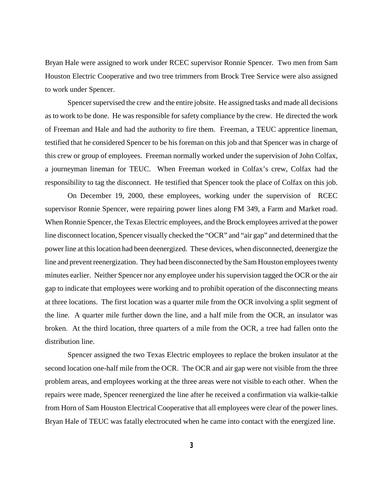Bryan Hale were assigned to work under RCEC supervisor Ronnie Spencer. Two men from Sam Houston Electric Cooperative and two tree trimmers from Brock Tree Service were also assigned to work under Spencer.

Spencer supervised the crew and the entire jobsite. He assigned tasks and made all decisions as to work to be done. He was responsible for safety compliance by the crew. He directed the work of Freeman and Hale and had the authority to fire them. Freeman, a TEUC apprentice lineman, testified that he considered Spencer to be his foreman on this job and that Spencer was in charge of this crew or group of employees. Freeman normally worked under the supervision of John Colfax, a journeyman lineman for TEUC. When Freeman worked in Colfax's crew, Colfax had the responsibility to tag the disconnect. He testified that Spencer took the place of Colfax on this job.

On December 19, 2000, these employees, working under the supervision of RCEC supervisor Ronnie Spencer, were repairing power lines along FM 349, a Farm and Market road. When Ronnie Spencer, the Texas Electric employees, and the Brock employees arrived at the power line disconnect location, Spencer visually checked the "OCR" and "air gap" and determined that the power line at this location had been deenergized. These devices, when disconnected, deenergize the line and prevent reenergization. They had been disconnected by the Sam Houston employees twenty minutes earlier. Neither Spencer nor any employee under his supervision tagged the OCR or the air gap to indicate that employees were working and to prohibit operation of the disconnecting means at three locations. The first location was a quarter mile from the OCR involving a split segment of the line. A quarter mile further down the line, and a half mile from the OCR, an insulator was broken. At the third location, three quarters of a mile from the OCR, a tree had fallen onto the distribution line.

Spencer assigned the two Texas Electric employees to replace the broken insulator at the second location one-half mile from the OCR. The OCR and air gap were not visible from the three problem areas, and employees working at the three areas were not visible to each other. When the repairs were made, Spencer reenergized the line after he received a confirmation via walkie-talkie from Horn of Sam Houston Electrical Cooperative that all employees were clear of the power lines. Bryan Hale of TEUC was fatally electrocuted when he came into contact with the energized line.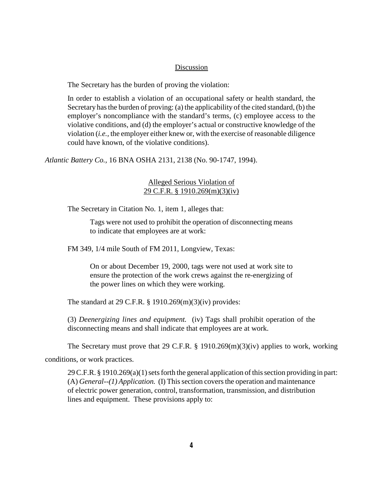## Discussion

The Secretary has the burden of proving the violation:

In order to establish a violation of an occupational safety or health standard, the Secretary has the burden of proving: (a) the applicability of the cited standard, (b) the employer's noncompliance with the standard's terms, (c) employee access to the violative conditions, and (d) the employer's actual or constructive knowledge of the violation (*i.e.,* the employer either knew or, with the exercise of reasonable diligence could have known, of the violative conditions).

*Atlantic Battery Co.,* 16 BNA OSHA 2131, 2138 (No. 90-1747, 1994).

# Alleged Serious Violation of 29 C.F.R. § 1910.269(m)(3)(iv)

The Secretary in Citation No. 1, item 1, alleges that:

Tags were not used to prohibit the operation of disconnecting means to indicate that employees are at work:

FM 349, 1/4 mile South of FM 2011, Longview, Texas:

On or about December 19, 2000, tags were not used at work site to ensure the protection of the work crews against the re-energizing of the power lines on which they were working.

The standard at 29 C.F.R. § 1910.269(m)(3)(iv) provides:

(3) *Deenergizing lines and equipment.* (iv) Tags shall prohibit operation of the disconnecting means and shall indicate that employees are at work.

The Secretary must prove that 29 C.F.R. § 1910.269 $(m)(3)(iv)$  applies to work, working

conditions, or work practices.

29 C.F.R. § 1910.269(a)(1) sets forth the general application of this section providing in part: (A) *General--(1) Application.* (I) This section covers the operation and maintenance of electric power generation, control, transformation, transmission, and distribution lines and equipment. These provisions apply to: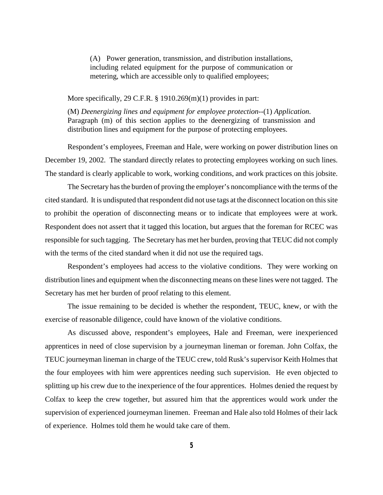(A) Power generation, transmission, and distribution installations, including related equipment for the purpose of communication or metering, which are accessible only to qualified employees;

More specifically, 29 C.F.R. § 1910.269(m)(1) provides in part:

(M) *Deenergizing lines and equipment for employee protection*--(1) *Application.*  Paragraph (m) of this section applies to the deenergizing of transmission and distribution lines and equipment for the purpose of protecting employees.

Respondent's employees, Freeman and Hale, were working on power distribution lines on December 19, 2002. The standard directly relates to protecting employees working on such lines. The standard is clearly applicable to work, working conditions, and work practices on this jobsite.

The Secretary has the burden of proving the employer's noncompliance with the terms of the cited standard. It is undisputed that respondent did not use tags at the disconnect location on this site to prohibit the operation of disconnecting means or to indicate that employees were at work. Respondent does not assert that it tagged this location, but argues that the foreman for RCEC was responsible for such tagging. The Secretary has met her burden, proving that TEUC did not comply with the terms of the cited standard when it did not use the required tags.

Respondent's employees had access to the violative conditions. They were working on distribution lines and equipment when the disconnecting means on these lines were not tagged. The Secretary has met her burden of proof relating to this element.

The issue remaining to be decided is whether the respondent, TEUC, knew, or with the exercise of reasonable diligence, could have known of the violative conditions.

As discussed above, respondent's employees, Hale and Freeman, were inexperienced apprentices in need of close supervision by a journeyman lineman or foreman. John Colfax, the TEUC journeyman lineman in charge of the TEUC crew, told Rusk's supervisor Keith Holmes that the four employees with him were apprentices needing such supervision. He even objected to splitting up his crew due to the inexperience of the four apprentices. Holmes denied the request by Colfax to keep the crew together, but assured him that the apprentices would work under the supervision of experienced journeyman linemen. Freeman and Hale also told Holmes of their lack of experience. Holmes told them he would take care of them.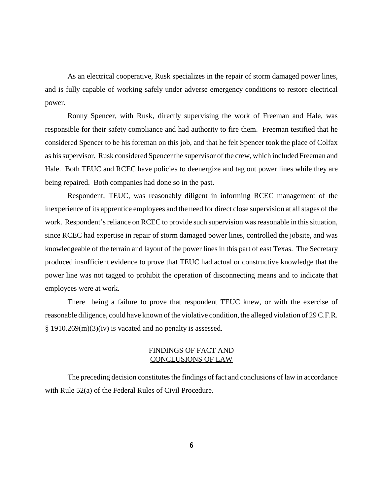As an electrical cooperative, Rusk specializes in the repair of storm damaged power lines, and is fully capable of working safely under adverse emergency conditions to restore electrical power.

Ronny Spencer, with Rusk, directly supervising the work of Freeman and Hale, was responsible for their safety compliance and had authority to fire them. Freeman testified that he considered Spencer to be his foreman on this job, and that he felt Spencer took the place of Colfax as his supervisor. Rusk considered Spencer the supervisor of the crew, which included Freeman and Hale. Both TEUC and RCEC have policies to deenergize and tag out power lines while they are being repaired. Both companies had done so in the past.

Respondent, TEUC, was reasonably diligent in informing RCEC management of the inexperience of its apprentice employees and the need for direct close supervision at all stages of the work. Respondent's reliance on RCEC to provide such supervision was reasonable in this situation, since RCEC had expertise in repair of storm damaged power lines, controlled the jobsite, and was knowledgeable of the terrain and layout of the power lines in this part of east Texas. The Secretary produced insufficient evidence to prove that TEUC had actual or constructive knowledge that the power line was not tagged to prohibit the operation of disconnecting means and to indicate that employees were at work.

There being a failure to prove that respondent TEUC knew, or with the exercise of reasonable diligence, could have known of the violative condition, the alleged violation of 29 C.F.R. § 1910.269(m)(3)(iv) is vacated and no penalty is assessed.

# FINDINGS OF FACT AND CONCLUSIONS OF LAW

The preceding decision constitutes the findings of fact and conclusions of law in accordance with Rule 52(a) of the Federal Rules of Civil Procedure.